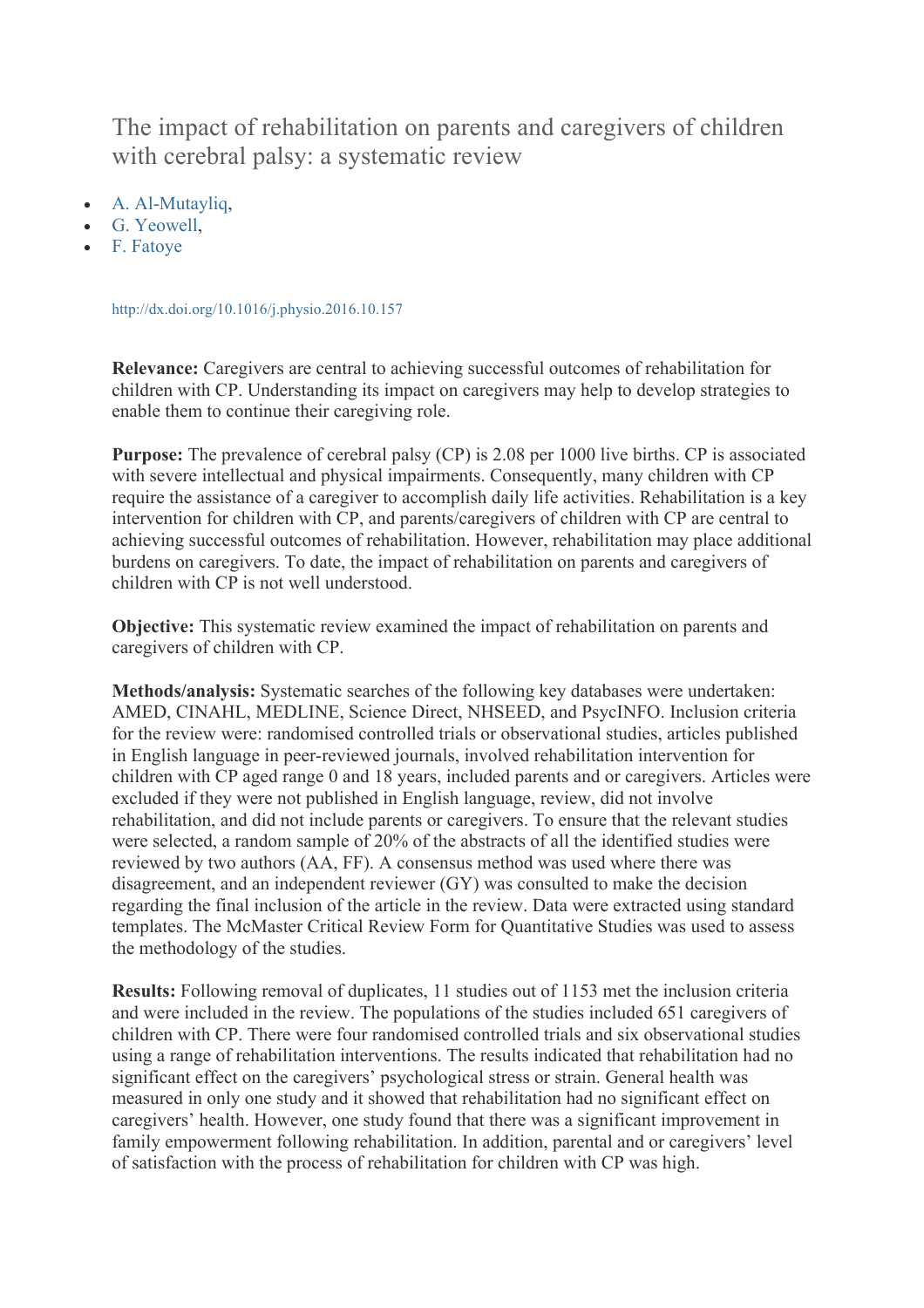The impact of rehabilitation on parents and caregivers of children with cerebral palsy: a systematic review

- A. Al-Mutayliq,
- G. Yeowell,
- F. Fatoye

http://dx.doi.org/10.1016/j.physio.2016.10.157

**Relevance:** Caregivers are central to achieving successful outcomes of rehabilitation for children with CP. Understanding its impact on caregivers may help to develop strategies to enable them to continue their caregiving role.

**Purpose:** The prevalence of cerebral palsy (CP) is 2.08 per 1000 live births. CP is associated with severe intellectual and physical impairments. Consequently, many children with CP require the assistance of a caregiver to accomplish daily life activities. Rehabilitation is a key intervention for children with CP, and parents/caregivers of children with CP are central to achieving successful outcomes of rehabilitation. However, rehabilitation may place additional burdens on caregivers. To date, the impact of rehabilitation on parents and caregivers of children with CP is not well understood.

**Objective:** This systematic review examined the impact of rehabilitation on parents and caregivers of children with CP.

**Methods/analysis:** Systematic searches of the following key databases were undertaken: AMED, CINAHL, MEDLINE, Science Direct, NHSEED, and PsycINFO. Inclusion criteria for the review were: randomised controlled trials or observational studies, articles published in English language in peer-reviewed journals, involved rehabilitation intervention for children with CP aged range 0 and 18 years, included parents and or caregivers. Articles were excluded if they were not published in English language, review, did not involve rehabilitation, and did not include parents or caregivers. To ensure that the relevant studies were selected, a random sample of 20% of the abstracts of all the identified studies were reviewed by two authors (AA, FF). A consensus method was used where there was disagreement, and an independent reviewer (GY) was consulted to make the decision regarding the final inclusion of the article in the review. Data were extracted using standard templates. The McMaster Critical Review Form for Quantitative Studies was used to assess the methodology of the studies.

**Results:** Following removal of duplicates, 11 studies out of 1153 met the inclusion criteria and were included in the review. The populations of the studies included 651 caregivers of children with CP. There were four randomised controlled trials and six observational studies using a range of rehabilitation interventions. The results indicated that rehabilitation had no significant effect on the caregivers' psychological stress or strain. General health was measured in only one study and it showed that rehabilitation had no significant effect on caregivers' health. However, one study found that there was a significant improvement in family empowerment following rehabilitation. In addition, parental and or caregivers' level of satisfaction with the process of rehabilitation for children with CP was high.